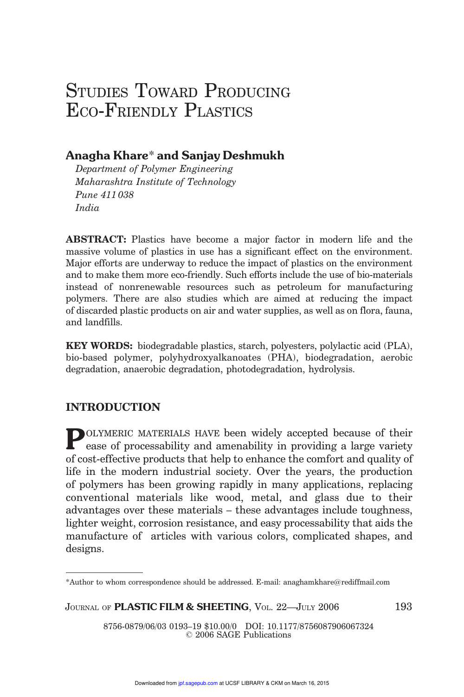# STUDIES TOWARD PRODUCING ECO-FRIENDLY PLASTICS

## Anagha Khare\* and Sanjay Deshmukh

*Department of Polymer Engineering Maharashtra Institute of Technology Pune 411 038 India*

ABSTRACT: Plastics have become a major factor in modern life and the massive volume of plastics in use has a significant effect on the environment. Major efforts are underway to reduce the impact of plastics on the environment and to make them more eco-friendly. Such efforts include the use of bio-materials instead of nonrenewable resources such as petroleum for manufacturing polymers. There are also studies which are aimed at reducing the impact of discarded plastic products on air and water supplies, as well as on flora, fauna, and landfills.

KEY WORDS: biodegradable plastics, starch, polyesters, polylactic acid (PLA), bio-based polymer, polyhydroxyalkanoates (PHA), biodegradation, aerobic degradation, anaerobic degradation, photodegradation, hydrolysis.

### INTRODUCTION

POLYMERIC MATERIALS HAVE been widely accepted because of their ease of processability and amenability in providing a large variety ease of processability and amenability in providing a large variety of cost-effective products that help to enhance the comfort and quality of life in the modern industrial society. Over the years, the production of polymers has been growing rapidly in many applications, replacing conventional materials like wood, metal, and glass due to their advantages over these materials – these advantages include toughness, lighter weight, corrosion resistance, and easy processability that aids the manufacture of articles with various colors, complicated shapes, and designs.

JOURNAL OF **PLASTIC FILM & SHEETING**, VOL. 22—JULY 2006 193

8756-0879/06/03 0193–19 \$10.00/0 DOI: 10.1177/8756087906067324 © 2006 SAGE Publications

<sup>\*</sup>Author to whom correspondence should be addressed. E-mail: anaghamkhare@rediffmail.com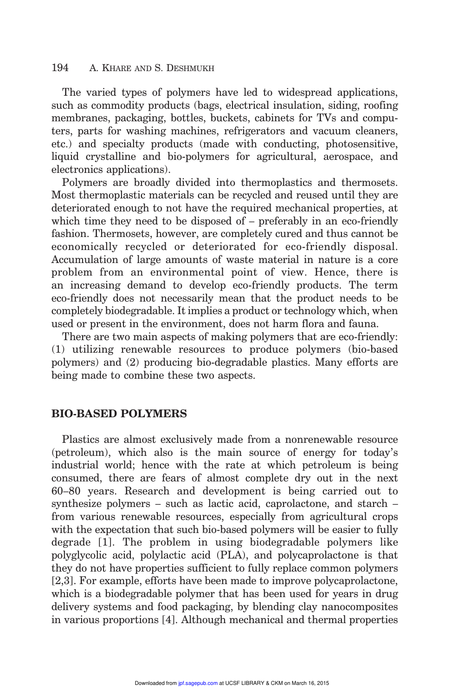#### 194 A. KHARE AND S. DESHMUKH

The varied types of polymers have led to widespread applications, such as commodity products (bags, electrical insulation, siding, roofing membranes, packaging, bottles, buckets, cabinets for TVs and computers, parts for washing machines, refrigerators and vacuum cleaners, etc.) and specialty products (made with conducting, photosensitive, liquid crystalline and bio-polymers for agricultural, aerospace, and electronics applications).

Polymers are broadly divided into thermoplastics and thermosets. Most thermoplastic materials can be recycled and reused until they are deteriorated enough to not have the required mechanical properties, at which time they need to be disposed of – preferably in an eco-friendly fashion. Thermosets, however, are completely cured and thus cannot be economically recycled or deteriorated for eco-friendly disposal. Accumulation of large amounts of waste material in nature is a core problem from an environmental point of view. Hence, there is an increasing demand to develop eco-friendly products. The term eco-friendly does not necessarily mean that the product needs to be completely biodegradable. It implies a product or technology which, when used or present in the environment, does not harm flora and fauna.

There are two main aspects of making polymers that are eco-friendly: (1) utilizing renewable resources to produce polymers (bio-based polymers) and (2) producing bio-degradable plastics. Many efforts are being made to combine these two aspects.

#### BIO-BASED POLYMERS

Plastics are almost exclusively made from a nonrenewable resource (petroleum), which also is the main source of energy for today's industrial world; hence with the rate at which petroleum is being consumed, there are fears of almost complete dry out in the next 60–80 years. Research and development is being carried out to synthesize polymers – such as lactic acid, caprolactone, and starch – from various renewable resources, especially from agricultural crops with the expectation that such bio-based polymers will be easier to fully degrade [1]. The problem in using biodegradable polymers like polyglycolic acid, polylactic acid (PLA), and polycaprolactone is that they do not have properties sufficient to fully replace common polymers [2,3]. For example, efforts have been made to improve polycaprolactone, which is a biodegradable polymer that has been used for years in drug delivery systems and food packaging, by blending clay nanocomposites in various proportions [4]. Although mechanical and thermal properties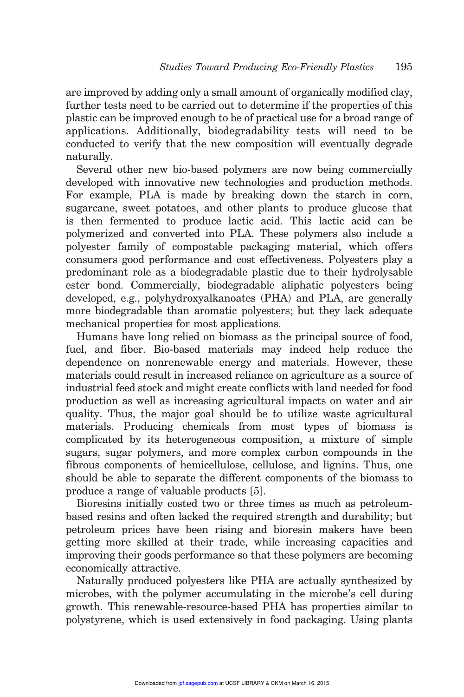are improved by adding only a small amount of organically modified clay, further tests need to be carried out to determine if the properties of this plastic can be improved enough to be of practical use for a broad range of applications. Additionally, biodegradability tests will need to be conducted to verify that the new composition will eventually degrade naturally.

Several other new bio-based polymers are now being commercially developed with innovative new technologies and production methods. For example, PLA is made by breaking down the starch in corn, sugarcane, sweet potatoes, and other plants to produce glucose that is then fermented to produce lactic acid. This lactic acid can be polymerized and converted into PLA. These polymers also include a polyester family of compostable packaging material, which offers consumers good performance and cost effectiveness. Polyesters play a predominant role as a biodegradable plastic due to their hydrolysable ester bond. Commercially, biodegradable aliphatic polyesters being developed, e.g., polyhydroxyalkanoates (PHA) and PLA, are generally more biodegradable than aromatic polyesters; but they lack adequate mechanical properties for most applications.

Humans have long relied on biomass as the principal source of food, fuel, and fiber. Bio-based materials may indeed help reduce the dependence on nonrenewable energy and materials. However, these materials could result in increased reliance on agriculture as a source of industrial feed stock and might create conflicts with land needed for food production as well as increasing agricultural impacts on water and air quality. Thus, the major goal should be to utilize waste agricultural materials. Producing chemicals from most types of biomass is complicated by its heterogeneous composition, a mixture of simple sugars, sugar polymers, and more complex carbon compounds in the fibrous components of hemicellulose, cellulose, and lignins. Thus, one should be able to separate the different components of the biomass to produce a range of valuable products [5].

Bioresins initially costed two or three times as much as petroleumbased resins and often lacked the required strength and durability; but petroleum prices have been rising and bioresin makers have been getting more skilled at their trade, while increasing capacities and improving their goods performance so that these polymers are becoming economically attractive.

Naturally produced polyesters like PHA are actually synthesized by microbes, with the polymer accumulating in the microbe's cell during growth. This renewable-resource-based PHA has properties similar to polystyrene, which is used extensively in food packaging. Using plants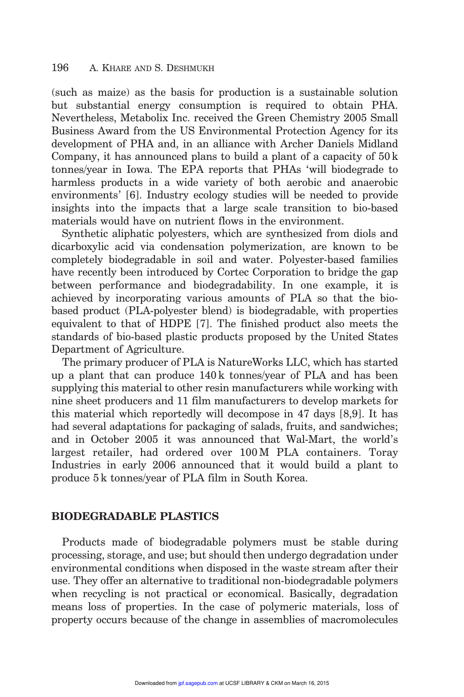#### 196 A. KHARE AND S. DESHMUKH

(such as maize) as the basis for production is a sustainable solution but substantial energy consumption is required to obtain PHA. Nevertheless, Metabolix Inc. received the Green Chemistry 2005 Small Business Award from the US Environmental Protection Agency for its development of PHA and, in an alliance with Archer Daniels Midland Company, it has announced plans to build a plant of a capacity of 50 k tonnes/year in Iowa. The EPA reports that PHAs 'will biodegrade to harmless products in a wide variety of both aerobic and anaerobic environments' [6]. Industry ecology studies will be needed to provide insights into the impacts that a large scale transition to bio-based materials would have on nutrient flows in the environment.

Synthetic aliphatic polyesters, which are synthesized from diols and dicarboxylic acid via condensation polymerization, are known to be completely biodegradable in soil and water. Polyester-based families have recently been introduced by Cortec Corporation to bridge the gap between performance and biodegradability. In one example, it is achieved by incorporating various amounts of PLA so that the biobased product (PLA-polyester blend) is biodegradable, with properties equivalent to that of HDPE [7]. The finished product also meets the standards of bio-based plastic products proposed by the United States Department of Agriculture.

The primary producer of PLA is NatureWorks LLC, which has started up a plant that can produce 140 k tonnes/year of PLA and has been supplying this material to other resin manufacturers while working with nine sheet producers and 11 film manufacturers to develop markets for this material which reportedly will decompose in 47 days [8,9]. It has had several adaptations for packaging of salads, fruits, and sandwiches; and in October 2005 it was announced that Wal-Mart, the world's largest retailer, had ordered over 100 M PLA containers. Toray Industries in early 2006 announced that it would build a plant to produce 5 k tonnes/year of PLA film in South Korea.

#### BIODEGRADABLE PLASTICS

Products made of biodegradable polymers must be stable during processing, storage, and use; but should then undergo degradation under environmental conditions when disposed in the waste stream after their use. They offer an alternative to traditional non-biodegradable polymers when recycling is not practical or economical. Basically, degradation means loss of properties. In the case of polymeric materials, loss of property occurs because of the change in assemblies of macromolecules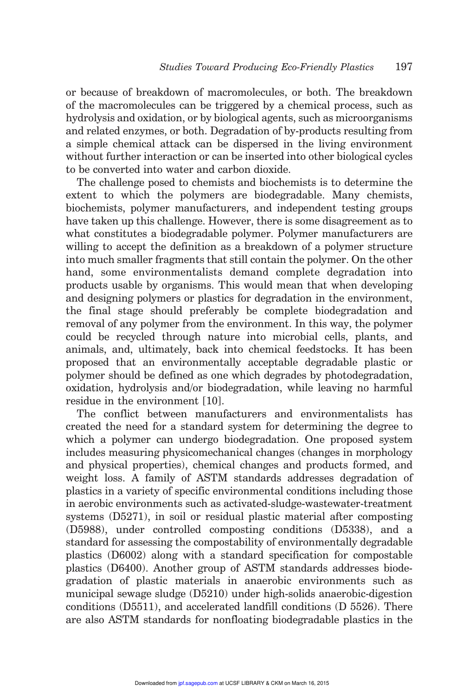or because of breakdown of macromolecules, or both. The breakdown of the macromolecules can be triggered by a chemical process, such as hydrolysis and oxidation, or by biological agents, such as microorganisms and related enzymes, or both. Degradation of by-products resulting from a simple chemical attack can be dispersed in the living environment without further interaction or can be inserted into other biological cycles to be converted into water and carbon dioxide.

The challenge posed to chemists and biochemists is to determine the extent to which the polymers are biodegradable. Many chemists, biochemists, polymer manufacturers, and independent testing groups have taken up this challenge. However, there is some disagreement as to what constitutes a biodegradable polymer. Polymer manufacturers are willing to accept the definition as a breakdown of a polymer structure into much smaller fragments that still contain the polymer. On the other hand, some environmentalists demand complete degradation into products usable by organisms. This would mean that when developing and designing polymers or plastics for degradation in the environment, the final stage should preferably be complete biodegradation and removal of any polymer from the environment. In this way, the polymer could be recycled through nature into microbial cells, plants, and animals, and, ultimately, back into chemical feedstocks. It has been proposed that an environmentally acceptable degradable plastic or polymer should be defined as one which degrades by photodegradation, oxidation, hydrolysis and/or biodegradation, while leaving no harmful residue in the environment [10].

The conflict between manufacturers and environmentalists has created the need for a standard system for determining the degree to which a polymer can undergo biodegradation. One proposed system includes measuring physicomechanical changes (changes in morphology and physical properties), chemical changes and products formed, and weight loss. A family of ASTM standards addresses degradation of plastics in a variety of specific environmental conditions including those in aerobic environments such as activated-sludge-wastewater-treatment systems (D5271), in soil or residual plastic material after composting (D5988), under controlled composting conditions (D5338), and a standard for assessing the compostability of environmentally degradable plastics (D6002) along with a standard specification for compostable plastics (D6400). Another group of ASTM standards addresses biodegradation of plastic materials in anaerobic environments such as municipal sewage sludge (D5210) under high-solids anaerobic-digestion conditions (D5511), and accelerated landfill conditions (D 5526). There are also ASTM standards for nonfloating biodegradable plastics in the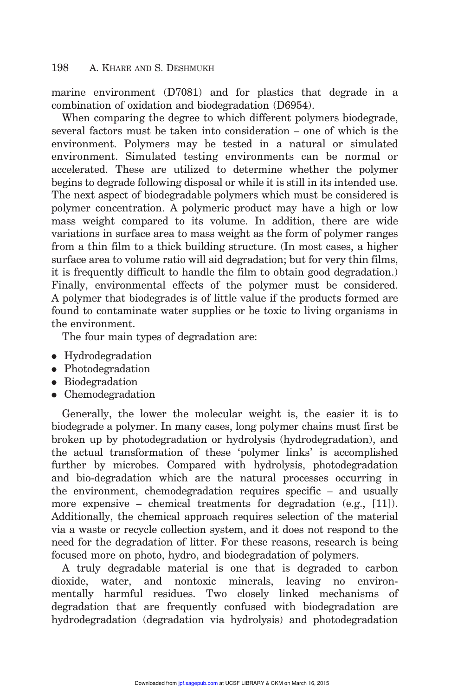marine environment (D7081) and for plastics that degrade in a combination of oxidation and biodegradation (D6954).

When comparing the degree to which different polymers biodegrade, several factors must be taken into consideration – one of which is the environment. Polymers may be tested in a natural or simulated environment. Simulated testing environments can be normal or accelerated. These are utilized to determine whether the polymer begins to degrade following disposal or while it is still in its intended use. The next aspect of biodegradable polymers which must be considered is polymer concentration. A polymeric product may have a high or low mass weight compared to its volume. In addition, there are wide variations in surface area to mass weight as the form of polymer ranges from a thin film to a thick building structure. (In most cases, a higher surface area to volume ratio will aid degradation; but for very thin films, it is frequently difficult to handle the film to obtain good degradation.) Finally, environmental effects of the polymer must be considered. A polymer that biodegrades is of little value if the products formed are found to contaminate water supplies or be toxic to living organisms in the environment.

The four main types of degradation are:

- . Hydrodegradation
- . Photodegradation
- . Biodegradation
- . Chemodegradation

Generally, the lower the molecular weight is, the easier it is to biodegrade a polymer. In many cases, long polymer chains must first be broken up by photodegradation or hydrolysis (hydrodegradation), and the actual transformation of these 'polymer links' is accomplished further by microbes. Compared with hydrolysis, photodegradation and bio-degradation which are the natural processes occurring in the environment, chemodegradation requires specific – and usually more expensive – chemical treatments for degradation (e.g., [11]). Additionally, the chemical approach requires selection of the material via a waste or recycle collection system, and it does not respond to the need for the degradation of litter. For these reasons, research is being focused more on photo, hydro, and biodegradation of polymers.

A truly degradable material is one that is degraded to carbon dioxide, water, and nontoxic minerals, leaving no environmentally harmful residues. Two closely linked mechanisms of degradation that are frequently confused with biodegradation are hydrodegradation (degradation via hydrolysis) and photodegradation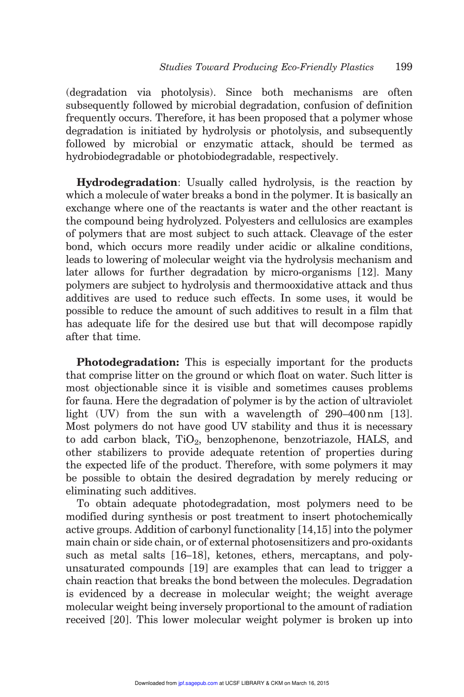(degradation via photolysis). Since both mechanisms are often subsequently followed by microbial degradation, confusion of definition frequently occurs. Therefore, it has been proposed that a polymer whose degradation is initiated by hydrolysis or photolysis, and subsequently followed by microbial or enzymatic attack, should be termed as hydrobiodegradable or photobiodegradable, respectively.

Hydrodegradation: Usually called hydrolysis, is the reaction by which a molecule of water breaks a bond in the polymer. It is basically an exchange where one of the reactants is water and the other reactant is the compound being hydrolyzed. Polyesters and cellulosics are examples of polymers that are most subject to such attack. Cleavage of the ester bond, which occurs more readily under acidic or alkaline conditions, leads to lowering of molecular weight via the hydrolysis mechanism and later allows for further degradation by micro-organisms [12]. Many polymers are subject to hydrolysis and thermooxidative attack and thus additives are used to reduce such effects. In some uses, it would be possible to reduce the amount of such additives to result in a film that has adequate life for the desired use but that will decompose rapidly after that time.

**Photodegradation:** This is especially important for the products that comprise litter on the ground or which float on water. Such litter is most objectionable since it is visible and sometimes causes problems for fauna. Here the degradation of polymer is by the action of ultraviolet light (UV) from the sun with a wavelength of 290–400 nm [13]. Most polymers do not have good UV stability and thus it is necessary to add carbon black,  $TiO<sub>2</sub>$ , benzophenone, benzotriazole, HALS, and other stabilizers to provide adequate retention of properties during the expected life of the product. Therefore, with some polymers it may be possible to obtain the desired degradation by merely reducing or eliminating such additives.

To obtain adequate photodegradation, most polymers need to be modified during synthesis or post treatment to insert photochemically active groups. Addition of carbonyl functionality [14,15] into the polymer main chain or side chain, or of external photosensitizers and pro-oxidants such as metal salts [16–18], ketones, ethers, mercaptans, and polyunsaturated compounds [19] are examples that can lead to trigger a chain reaction that breaks the bond between the molecules. Degradation is evidenced by a decrease in molecular weight; the weight average molecular weight being inversely proportional to the amount of radiation received [20]. This lower molecular weight polymer is broken up into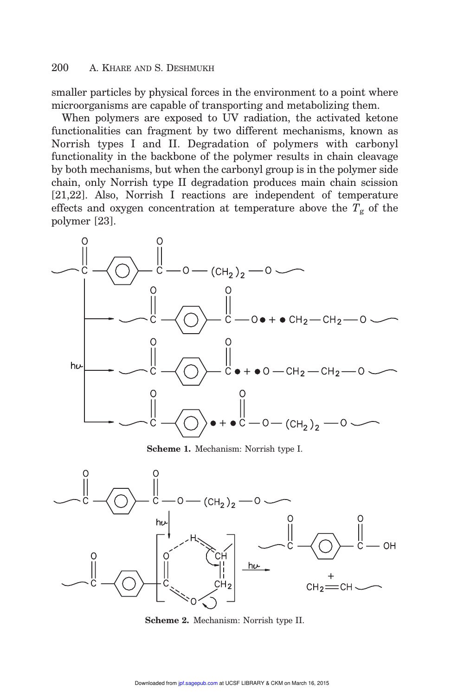#### 200 A. KHARE AND S. DESHMUKH

smaller particles by physical forces in the environment to a point where microorganisms are capable of transporting and metabolizing them.

When polymers are exposed to UV radiation, the activated ketone functionalities can fragment by two different mechanisms, known as Norrish types I and II. Degradation of polymers with carbonyl functionality in the backbone of the polymer results in chain cleavage by both mechanisms, but when the carbonyl group is in the polymer side chain, only Norrish type II degradation produces main chain scission [21,22]. Also, Norrish I reactions are independent of temperature effects and oxygen concentration at temperature above the  $T<sub>g</sub>$  of the polymer [23].



Scheme 1. Mechanism: Norrish type I.



Scheme 2. Mechanism: Norrish type II.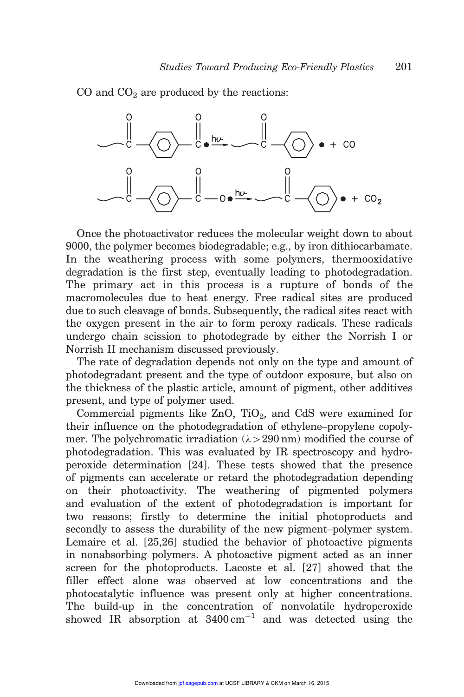CO and  $CO<sub>2</sub>$  are produced by the reactions:



Once the photoactivator reduces the molecular weight down to about 9000, the polymer becomes biodegradable; e.g., by iron dithiocarbamate. In the weathering process with some polymers, thermooxidative degradation is the first step, eventually leading to photodegradation. The primary act in this process is a rupture of bonds of the macromolecules due to heat energy. Free radical sites are produced due to such cleavage of bonds. Subsequently, the radical sites react with the oxygen present in the air to form peroxy radicals. These radicals undergo chain scission to photodegrade by either the Norrish I or Norrish II mechanism discussed previously.

The rate of degradation depends not only on the type and amount of photodegradant present and the type of outdoor exposure, but also on the thickness of the plastic article, amount of pigment, other additives present, and type of polymer used.

Commercial pigments like  $ZnO$ ,  $TiO<sub>2</sub>$ , and CdS were examined for their influence on the photodegradation of ethylene–propylene copolymer. The polychromatic irradiation  $(\lambda > 290 \text{ nm})$  modified the course of photodegradation. This was evaluated by IR spectroscopy and hydroperoxide determination [24]. These tests showed that the presence of pigments can accelerate or retard the photodegradation depending on their photoactivity. The weathering of pigmented polymers and evaluation of the extent of photodegradation is important for two reasons; firstly to determine the initial photoproducts and secondly to assess the durability of the new pigment–polymer system. Lemaire et al. [25,26] studied the behavior of photoactive pigments in nonabsorbing polymers. A photoactive pigment acted as an inner screen for the photoproducts. Lacoste et al. [27] showed that the filler effect alone was observed at low concentrations and the photocatalytic influence was present only at higher concentrations. The build-up in the concentration of nonvolatile hydroperoxide showed IR absorption at  $3400 \text{ cm}^{-1}$  and was detected using the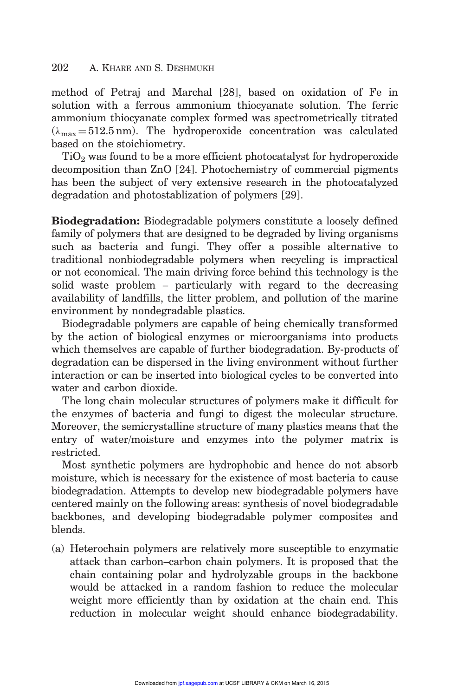method of Petraj and Marchal [28], based on oxidation of Fe in solution with a ferrous ammonium thiocyanate solution. The ferric ammonium thiocyanate complex formed was spectrometrically titrated  $(\lambda_{\text{max}} = 512.5 \text{ nm})$ . The hydroperoxide concentration was calculated based on the stoichiometry.

 $TiO<sub>2</sub>$  was found to be a more efficient photocatalyst for hydroperoxide decomposition than ZnO [24]. Photochemistry of commercial pigments has been the subject of very extensive research in the photocatalyzed degradation and photostablization of polymers [29].

Biodegradation: Biodegradable polymers constitute a loosely defined family of polymers that are designed to be degraded by living organisms such as bacteria and fungi. They offer a possible alternative to traditional nonbiodegradable polymers when recycling is impractical or not economical. The main driving force behind this technology is the solid waste problem – particularly with regard to the decreasing availability of landfills, the litter problem, and pollution of the marine environment by nondegradable plastics.

Biodegradable polymers are capable of being chemically transformed by the action of biological enzymes or microorganisms into products which themselves are capable of further biodegradation. By-products of degradation can be dispersed in the living environment without further interaction or can be inserted into biological cycles to be converted into water and carbon dioxide.

The long chain molecular structures of polymers make it difficult for the enzymes of bacteria and fungi to digest the molecular structure. Moreover, the semicrystalline structure of many plastics means that the entry of water/moisture and enzymes into the polymer matrix is restricted.

Most synthetic polymers are hydrophobic and hence do not absorb moisture, which is necessary for the existence of most bacteria to cause biodegradation. Attempts to develop new biodegradable polymers have centered mainly on the following areas: synthesis of novel biodegradable backbones, and developing biodegradable polymer composites and blends.

(a) Heterochain polymers are relatively more susceptible to enzymatic attack than carbon–carbon chain polymers. It is proposed that the chain containing polar and hydrolyzable groups in the backbone would be attacked in a random fashion to reduce the molecular weight more efficiently than by oxidation at the chain end. This reduction in molecular weight should enhance biodegradability.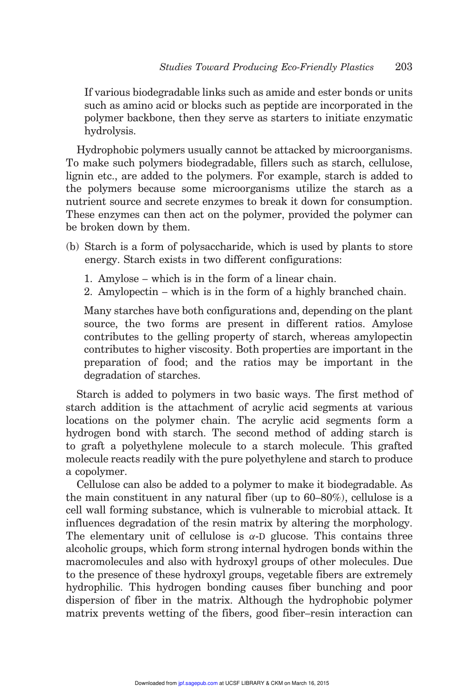If various biodegradable links such as amide and ester bonds or units such as amino acid or blocks such as peptide are incorporated in the polymer backbone, then they serve as starters to initiate enzymatic hydrolysis.

Hydrophobic polymers usually cannot be attacked by microorganisms. To make such polymers biodegradable, fillers such as starch, cellulose, lignin etc., are added to the polymers. For example, starch is added to the polymers because some microorganisms utilize the starch as a nutrient source and secrete enzymes to break it down for consumption. These enzymes can then act on the polymer, provided the polymer can be broken down by them.

- (b) Starch is a form of polysaccharide, which is used by plants to store energy. Starch exists in two different configurations:
	- 1. Amylose which is in the form of a linear chain.
	- 2. Amylopectin which is in the form of a highly branched chain.

Many starches have both configurations and, depending on the plant source, the two forms are present in different ratios. Amylose contributes to the gelling property of starch, whereas amylopectin contributes to higher viscosity. Both properties are important in the preparation of food; and the ratios may be important in the degradation of starches.

Starch is added to polymers in two basic ways. The first method of starch addition is the attachment of acrylic acid segments at various locations on the polymer chain. The acrylic acid segments form a hydrogen bond with starch. The second method of adding starch is to graft a polyethylene molecule to a starch molecule. This grafted molecule reacts readily with the pure polyethylene and starch to produce a copolymer.

Cellulose can also be added to a polymer to make it biodegradable. As the main constituent in any natural fiber (up to 60–80%), cellulose is a cell wall forming substance, which is vulnerable to microbial attack. It influences degradation of the resin matrix by altering the morphology. The elementary unit of cellulose is  $\alpha$ -D glucose. This contains three alcoholic groups, which form strong internal hydrogen bonds within the macromolecules and also with hydroxyl groups of other molecules. Due to the presence of these hydroxyl groups, vegetable fibers are extremely hydrophilic. This hydrogen bonding causes fiber bunching and poor dispersion of fiber in the matrix. Although the hydrophobic polymer matrix prevents wetting of the fibers, good fiber–resin interaction can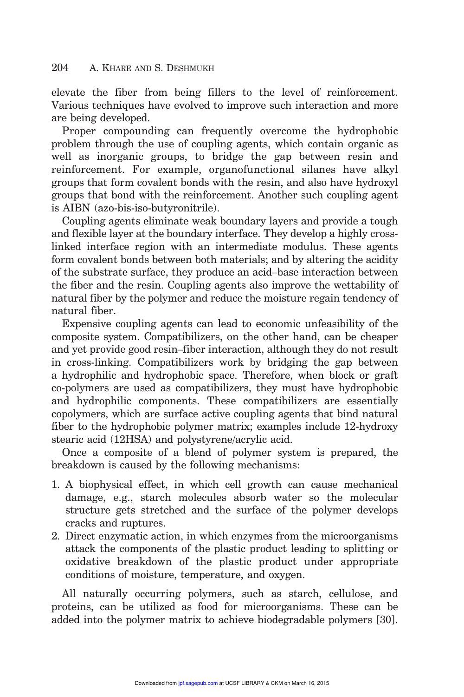elevate the fiber from being fillers to the level of reinforcement. Various techniques have evolved to improve such interaction and more are being developed.

Proper compounding can frequently overcome the hydrophobic problem through the use of coupling agents, which contain organic as well as inorganic groups, to bridge the gap between resin and reinforcement. For example, organofunctional silanes have alkyl groups that form covalent bonds with the resin, and also have hydroxyl groups that bond with the reinforcement. Another such coupling agent is AIBN (azo-bis-iso-butyronitrile).

Coupling agents eliminate weak boundary layers and provide a tough and flexible layer at the boundary interface. They develop a highly crosslinked interface region with an intermediate modulus. These agents form covalent bonds between both materials; and by altering the acidity of the substrate surface, they produce an acid–base interaction between the fiber and the resin. Coupling agents also improve the wettability of natural fiber by the polymer and reduce the moisture regain tendency of natural fiber.

Expensive coupling agents can lead to economic unfeasibility of the composite system. Compatibilizers, on the other hand, can be cheaper and yet provide good resin–fiber interaction, although they do not result in cross-linking. Compatibilizers work by bridging the gap between a hydrophilic and hydrophobic space. Therefore, when block or graft co-polymers are used as compatibilizers, they must have hydrophobic and hydrophilic components. These compatibilizers are essentially copolymers, which are surface active coupling agents that bind natural fiber to the hydrophobic polymer matrix; examples include 12-hydroxy stearic acid (12HSA) and polystyrene/acrylic acid.

Once a composite of a blend of polymer system is prepared, the breakdown is caused by the following mechanisms:

- 1. A biophysical effect, in which cell growth can cause mechanical damage, e.g., starch molecules absorb water so the molecular structure gets stretched and the surface of the polymer develops cracks and ruptures.
- 2. Direct enzymatic action, in which enzymes from the microorganisms attack the components of the plastic product leading to splitting or oxidative breakdown of the plastic product under appropriate conditions of moisture, temperature, and oxygen.

All naturally occurring polymers, such as starch, cellulose, and proteins, can be utilized as food for microorganisms. These can be added into the polymer matrix to achieve biodegradable polymers [30].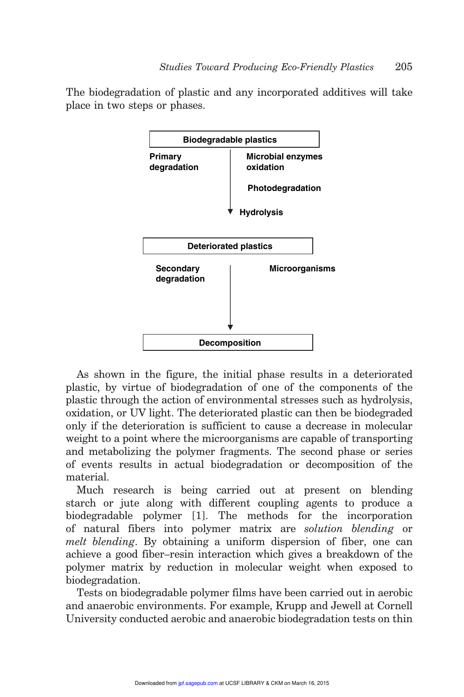The biodegradation of plastic and any incorporated additives will take place in two steps or phases.



As shown in the figure, the initial phase results in a deteriorated plastic, by virtue of biodegradation of one of the components of the plastic through the action of environmental stresses such as hydrolysis, oxidation, or UV light. The deteriorated plastic can then be biodegraded only if the deterioration is sufficient to cause a decrease in molecular weight to a point where the microorganisms are capable of transporting and metabolizing the polymer fragments. The second phase or series of events results in actual biodegradation or decomposition of the material.

Much research is being carried out at present on blending starch or jute along with different coupling agents to produce a biodegradable polymer [1]. The methods for the incorporation of natural fibers into polymer matrix are *solution blending* or *melt blending*. By obtaining a uniform dispersion of fiber, one can achieve a good fiber–resin interaction which gives a breakdown of the polymer matrix by reduction in molecular weight when exposed to biodegradation.

Tests on biodegradable polymer films have been carried out in aerobic and anaerobic environments. For example, Krupp and Jewell at Cornell University conducted aerobic and anaerobic biodegradation tests on thin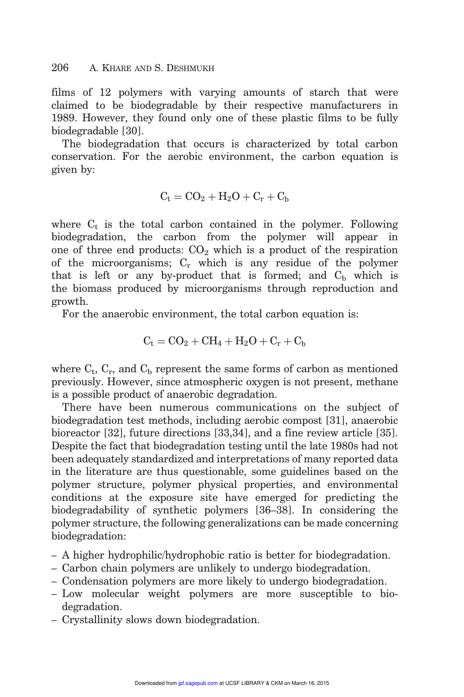films of 12 polymers with varying amounts of starch that were claimed to be biodegradable by their respective manufacturers in 1989. However, they found only one of these plastic films to be fully biodegradable [30].

The biodegradation that occurs is characterized by total carbon conservation. For the aerobic environment, the carbon equation is given by:

$$
C_t = CO_2 + H_2O + C_r + C_b
$$

where  $C_t$  is the total carbon contained in the polymer. Following biodegradation, the carbon from the polymer will appear in one of three end products:  $CO<sub>2</sub>$  which is a product of the respiration of the microorganisms;  $C_r$  which is any residue of the polymer that is left or any by-product that is formed; and  $C<sub>b</sub>$  which is the biomass produced by microorganisms through reproduction and growth.

For the anaerobic environment, the total carbon equation is:

$$
C_t = CO_2 + CH_4 + H_2O + C_r + C_b
$$

where  $C_t$ ,  $C_r$ , and  $C_b$  represent the same forms of carbon as mentioned previously. However, since atmospheric oxygen is not present, methane is a possible product of anaerobic degradation.

There have been numerous communications on the subject of biodegradation test methods, including aerobic compost [31], anaerobic bioreactor [32], future directions [33,34], and a fine review article [35]. Despite the fact that biodegradation testing until the late 1980s had not been adequately standardized and interpretations of many reported data in the literature are thus questionable, some guidelines based on the polymer structure, polymer physical properties, and environmental conditions at the exposure site have emerged for predicting the biodegradability of synthetic polymers [36–38]. In considering the polymer structure, the following generalizations can be made concerning biodegradation:

- A higher hydrophilic/hydrophobic ratio is better for biodegradation.
- Carbon chain polymers are unlikely to undergo biodegradation.
- Condensation polymers are more likely to undergo biodegradation.
- Low molecular weight polymers are more susceptible to biodegradation.
- Crystallinity slows down biodegradation.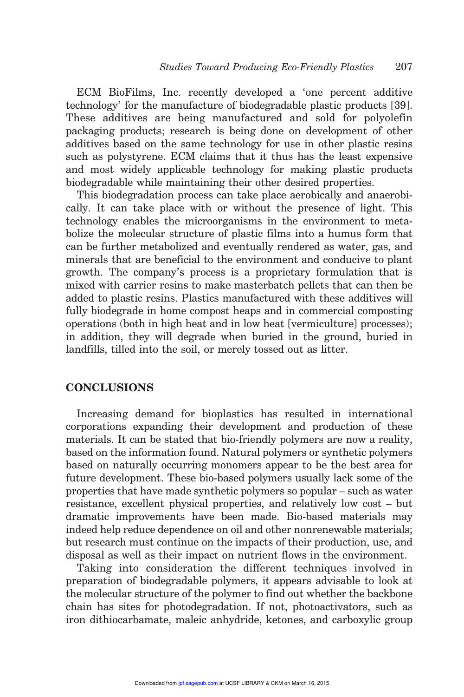ECM BioFilms, Inc. recently developed a 'one percent additive technology' for the manufacture of biodegradable plastic products [39]. These additives are being manufactured and sold for polyolefin packaging products; research is being done on development of other additives based on the same technology for use in other plastic resins such as polystyrene. ECM claims that it thus has the least expensive and most widely applicable technology for making plastic products biodegradable while maintaining their other desired properties.

This biodegradation process can take place aerobically and anaerobically. It can take place with or without the presence of light. This technology enables the microorganisms in the environment to metabolize the molecular structure of plastic films into a humus form that can be further metabolized and eventually rendered as water, gas, and minerals that are beneficial to the environment and conducive to plant growth. The company's process is a proprietary formulation that is mixed with carrier resins to make masterbatch pellets that can then be added to plastic resins. Plastics manufactured with these additives will fully biodegrade in home compost heaps and in commercial composting operations (both in high heat and in low heat [vermiculture] processes); in addition, they will degrade when buried in the ground, buried in landfills, tilled into the soil, or merely tossed out as litter.

#### CONCLUSIONS

Increasing demand for bioplastics has resulted in international corporations expanding their development and production of these materials. It can be stated that bio-friendly polymers are now a reality, based on the information found. Natural polymers or synthetic polymers based on naturally occurring monomers appear to be the best area for future development. These bio-based polymers usually lack some of the properties that have made synthetic polymers so popular – such as water resistance, excellent physical properties, and relatively low cost – but dramatic improvements have been made. Bio-based materials may indeed help reduce dependence on oil and other nonrenewable materials; but research must continue on the impacts of their production, use, and disposal as well as their impact on nutrient flows in the environment.

Taking into consideration the different techniques involved in preparation of biodegradable polymers, it appears advisable to look at the molecular structure of the polymer to find out whether the backbone chain has sites for photodegradation. If not, photoactivators, such as iron dithiocarbamate, maleic anhydride, ketones, and carboxylic group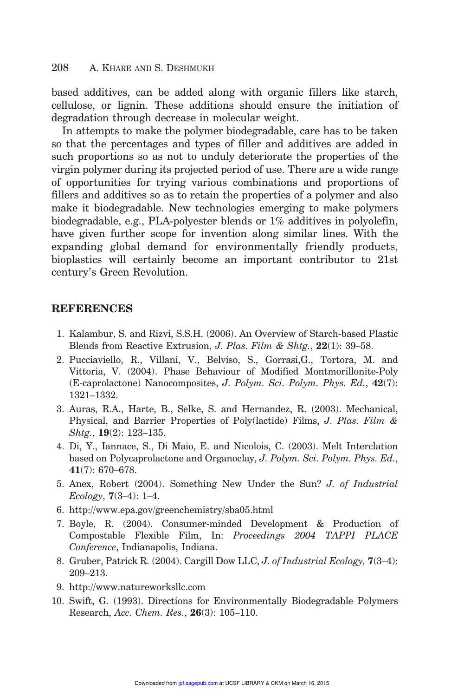based additives, can be added along with organic fillers like starch, cellulose, or lignin. These additions should ensure the initiation of degradation through decrease in molecular weight.

In attempts to make the polymer biodegradable, care has to be taken so that the percentages and types of filler and additives are added in such proportions so as not to unduly deteriorate the properties of the virgin polymer during its projected period of use. There are a wide range of opportunities for trying various combinations and proportions of fillers and additives so as to retain the properties of a polymer and also make it biodegradable. New technologies emerging to make polymers biodegradable, e.g., PLA-polyester blends or 1% additives in polyolefin, have given further scope for invention along similar lines. With the expanding global demand for environmentally friendly products, bioplastics will certainly become an important contributor to 21st century's Green Revolution.

#### REFERENCES

- 1. Kalambur, S. and Rizvi, S.S.H. (2006). An Overview of Starch-based Plastic Blends from Reactive Extrusion, *J. Plas. Film & Shtg.*, 22(1): 39–58.
- 2. Pucciaviello, R., Villani, V., Belviso, S., Gorrasi,G., Tortora, M. and Vittoria, V. (2004). Phase Behaviour of Modified Montmorillonite-Poly (E-caprolactone) Nanocomposites, *J. Polym. Sci. Polym. Phys. Ed.*, 42(7): 1321–1332.
- 3. Auras, R.A., Harte, B., Selke, S. and Hernandez, R. (2003). Mechanical, Physical, and Barrier Properties of Poly(lactide) Films, *J. Plas. Film & Shtg.*, 19(2): 123–135.
- 4. Di, Y., Iannace, S., Di Maio, E. and Nicolois, C. (2003). Melt Interclation based on Polycaprolactone and Organoclay, *J. Polym. Sci. Polym. Phys. Ed.*, 41(7): 670–678.
- 5. Anex, Robert (2004). Something New Under the Sun? *J. of Industrial Ecology*, 7(3–4): 1–4.
- 6. http://www.epa.gov/greenchemistry/sba05.html
- 7. Boyle, R. (2004). Consumer-minded Development & Production of Compostable Flexible Film, In: *Proceedings 2004 TAPPI PLACE Conference*, Indianapolis, Indiana.
- 8. Gruber, Patrick R. (2004). Cargill Dow LLC, *J. of Industrial Ecology,* 7(3–4): 209–213.
- 9. http://www.natureworksllc.com
- 10. Swift, G. (1993). Directions for Environmentally Biodegradable Polymers Research, *Acc. Chem. Res.*, 26(3): 105–110.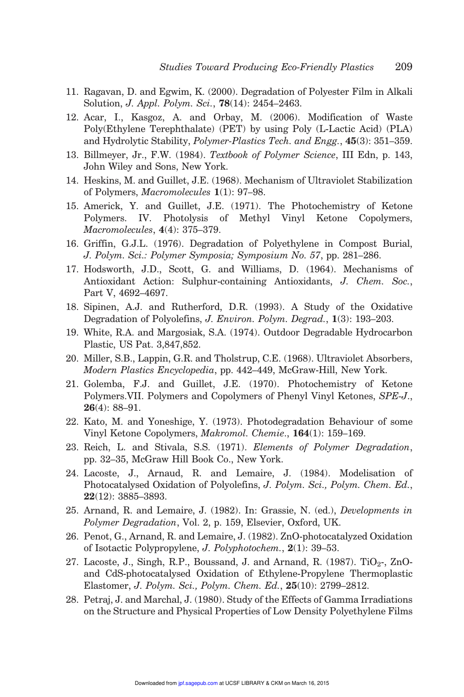- 11. Ragavan, D. and Egwim, K. (2000). Degradation of Polyester Film in Alkali Solution, *J. Appl. Polym. Sci.*, 78(14): 2454–2463.
- 12. Acar, I., Kasgoz, A. and Orbay, M. (2006). Modification of Waste Poly(Ethylene Terephthalate) (PET) by using Poly (L-Lactic Acid) (PLA) and Hydrolytic Stability, *Polymer-Plastics Tech. and Engg.*, 45(3): 351–359.
- 13. Billmeyer, Jr., F.W. (1984). *Textbook of Polymer Science*, III Edn, p. 143, John Wiley and Sons, New York.
- 14. Heskins, M. and Guillet, J.E. (1968). Mechanism of Ultraviolet Stabilization of Polymers, *Macromolecules* 1(1): 97–98.
- 15. Americk, Y. and Guillet, J.E. (1971). The Photochemistry of Ketone Polymers. IV. Photolysis of Methyl Vinyl Ketone Copolymers, *Macromolecules*, 4(4): 375–379.
- 16. Griffin, G.J.L. (1976). Degradation of Polyethylene in Compost Burial, *J. Polym. Sci.: Polymer Symposia; Symposium No. 57*, pp. 281–286.
- 17. Hodsworth, J.D., Scott, G. and Williams, D. (1964). Mechanisms of Antioxidant Action: Sulphur-containing Antioxidants, *J. Chem. Soc.*, Part V, 4692–4697.
- 18. Sipinen, A.J. and Rutherford, D.R. (1993). A Study of the Oxidative Degradation of Polyolefins, *J. Environ. Polym. Degrad.*, 1(3): 193–203.
- 19. White, R.A. and Margosiak, S.A. (1974). Outdoor Degradable Hydrocarbon Plastic, US Pat. 3,847,852.
- 20. Miller, S.B., Lappin, G.R. and Tholstrup, C.E. (1968). Ultraviolet Absorbers, *Modern Plastics Encyclopedia*, pp. 442–449, McGraw-Hill, New York.
- 21. Golemba, F.J. and Guillet, J.E. (1970). Photochemistry of Ketone Polymers.VII. Polymers and Copolymers of Phenyl Vinyl Ketones, *SPE-J*., 26(4): 88–91.
- 22. Kato, M. and Yoneshige, Y. (1973). Photodegradation Behaviour of some Vinyl Ketone Copolymers, *Makromol. Chemie*., 164(1): 159–169.
- 23. Reich, L. and Stivala, S.S. (1971). *Elements of Polymer Degradation*, pp. 32–35, McGraw Hill Book Co., New York.
- 24. Lacoste, J., Arnaud, R. and Lemaire, J. (1984). Modelisation of Photocatalysed Oxidation of Polyolefins, *J. Polym. Sci., Polym. Chem. Ed.*, 22(12): 3885–3893.
- 25. Arnand, R. and Lemaire, J. (1982). In: Grassie, N. (ed.), *Developments in Polymer Degradation*, Vol. 2, p. 159, Elsevier, Oxford, UK.
- 26. Penot, G., Arnand, R. and Lemaire, J. (1982). ZnO-photocatalyzed Oxidation of Isotactic Polypropylene, *J. Polyphotochem.*, 2(1): 39–53.
- 27. Lacoste, J., Singh, R.P., Boussand, J. and Arnand, R. (1987). TiO<sub>2</sub>-, ZnOand CdS-photocatalysed Oxidation of Ethylene-Propylene Thermoplastic Elastomer, *J. Polym. Sci., Polym. Chem. Ed.*, 25(10): 2799–2812.
- 28. Petraj, J. and Marchal, J. (1980). Study of the Effects of Gamma Irradiations on the Structure and Physical Properties of Low Density Polyethylene Films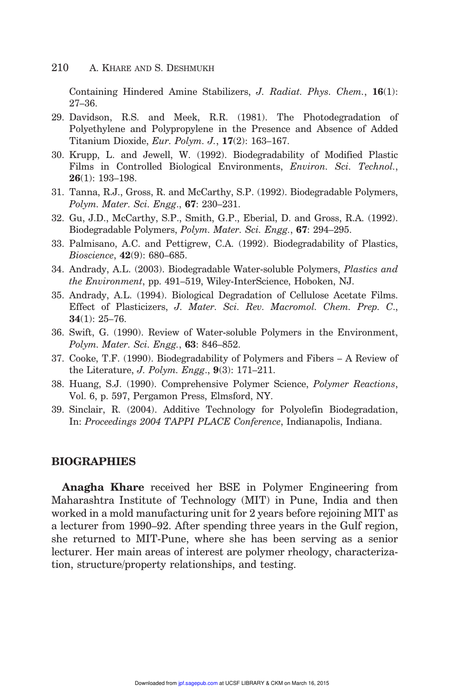Containing Hindered Amine Stabilizers, *J. Radiat. Phys. Chem.*, 16(1): 27–36.

- 29. Davidson, R.S. and Meek, R.R. (1981). The Photodegradation of Polyethylene and Polypropylene in the Presence and Absence of Added Titanium Dioxide, *Eur. Polym. J.*, 17(2): 163–167.
- 30. Krupp, L. and Jewell, W. (1992). Biodegradability of Modified Plastic Films in Controlled Biological Environments, *Environ. Sci. Technol.*, 26(1): 193–198.
- 31. Tanna, R.J., Gross, R. and McCarthy, S.P. (1992). Biodegradable Polymers, *Polym. Mater. Sci. Engg*., 67: 230–231.
- 32. Gu, J.D., McCarthy, S.P., Smith, G.P., Eberial, D. and Gross, R.A. (1992). Biodegradable Polymers, *Polym. Mater. Sci. Engg.*, 67: 294–295.
- 33. Palmisano, A.C. and Pettigrew, C.A. (1992). Biodegradability of Plastics, *Bioscience*, 42(9): 680–685.
- 34. Andrady, A.L. (2003). Biodegradable Water-soluble Polymers, *Plastics and the Environment*, pp. 491–519, Wiley-InterScience, Hoboken, NJ.
- 35. Andrady, A.L. (1994). Biological Degradation of Cellulose Acetate Films. Effect of Plasticizers, *J. Mater. Sci. Rev. Macromol. Chem. Prep. C*., 34(1): 25–76.
- 36. Swift, G. (1990). Review of Water-soluble Polymers in the Environment, *Polym. Mater. Sci. Engg.*, 63: 846–852.
- 37. Cooke, T.F. (1990). Biodegradability of Polymers and Fibers A Review of the Literature, *J. Polym. Engg*., 9(3): 171–211.
- 38. Huang, S.J. (1990). Comprehensive Polymer Science, *Polymer Reactions*, Vol. 6, p. 597, Pergamon Press, Elmsford, NY.
- 39. Sinclair, R. (2004). Additive Technology for Polyolefin Biodegradation, In: *Proceedings 2004 TAPPI PLACE Conference*, Indianapolis, Indiana.

#### BIOGRAPHIES

Anagha Khare received her BSE in Polymer Engineering from Maharashtra Institute of Technology (MIT) in Pune, India and then worked in a mold manufacturing unit for 2 years before rejoining MIT as a lecturer from 1990–92. After spending three years in the Gulf region, she returned to MIT-Pune, where she has been serving as a senior lecturer. Her main areas of interest are polymer rheology, characterization, structure/property relationships, and testing.